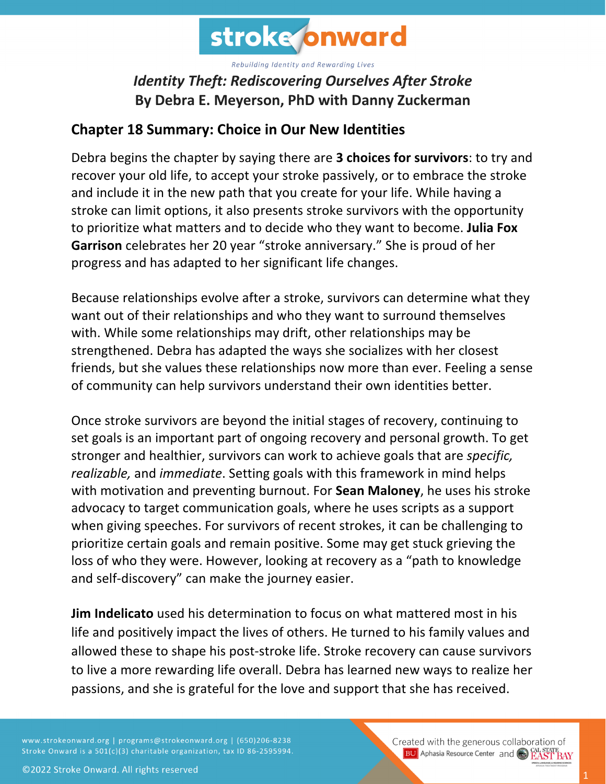

Rebuilding Identity and Rewarding Lives

## *Identity Theft: Rediscovering Ourselves After Stroke* **By Debra E. Meyerson, PhD with Danny Zuckerman**

## **Chapter 18 Summary: Choice in Our New Identities**

Debra begins the chapter by saying there are **3 choices for survivors**: to try and recover your old life, to accept your stroke passively, or to embrace the stroke and include it in the new path that you create for your life. While having a stroke can limit options, it also presents stroke survivors with the opportunity to prioritize what matters and to decide who they want to become. **Julia Fox Garrison** celebrates her 20 year "stroke anniversary." She is proud of her progress and has adapted to her significant life changes.

Because relationships evolve after a stroke, survivors can determine what they want out of their relationships and who they want to surround themselves with. While some relationships may drift, other relationships may be strengthened. Debra has adapted the ways she socializes with her closest friends, but she values these relationships now more than ever. Feeling a sense of community can help survivors understand their own identities better.

Once stroke survivors are beyond the initial stages of recovery, continuing to set goals is an important part of ongoing recovery and personal growth. To get stronger and healthier, survivors can work to achieve goals that are *specific, realizable,* and *immediate*. Setting goals with this framework in mind helps with motivation and preventing burnout. For **Sean Maloney**, he uses his stroke advocacy to target communication goals, where he uses scripts as a support when giving speeches. For survivors of recent strokes, it can be challenging to prioritize certain goals and remain positive. Some may get stuck grieving the loss of who they were. However, looking at recovery as a "path to knowledge and self-discovery" can make the journey easier.

**Jim Indelicato** used his determination to focus on what mattered most in his life and positively impact the lives of others. He turned to his family values and allowed these to shape his post-stroke life. Stroke recovery can cause survivors to live a more rewarding life overall. Debra has learned new ways to realize her passions, and she is grateful for the love and support that she has received.

www.strokeonward.org | programs@strokeonward.org | (650)206-8238 Stroke Onward is a 501(c)(3) charitable organization, tax ID 86-2595994.

Created with the generous collaboration of **BU** Aphasia Resource Center and **COL STATE BAY**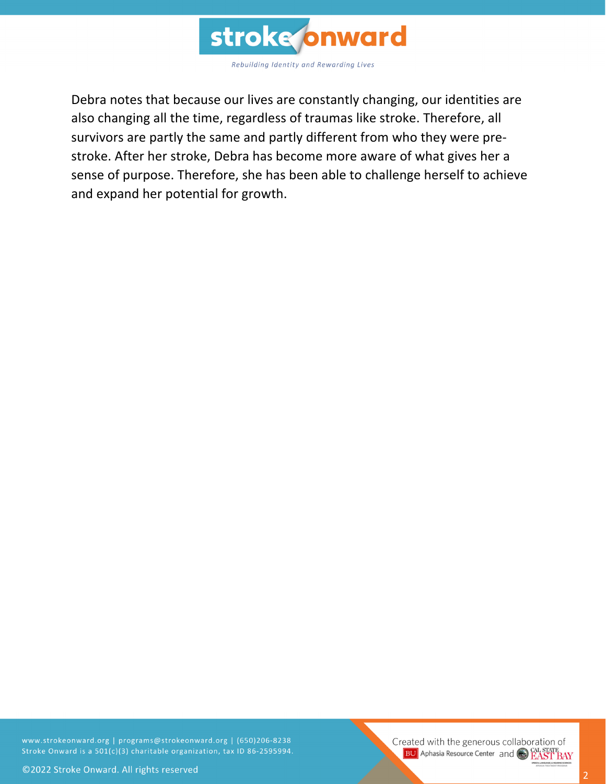

Debra notes that because our lives are constantly changing, our identities are also changing all the time, regardless of traumas like stroke. Therefore, all survivors are partly the same and partly different from who they were prestroke. After her stroke, Debra has become more aware of what gives her a sense of purpose. Therefore, she has been able to challenge herself to achieve and expand her potential for growth.

www.strokeonward.org | programs@strokeonward.org | (650)206-8238 Stroke Onward is a 501(c)(3) charitable organization, tax ID 86-2595994.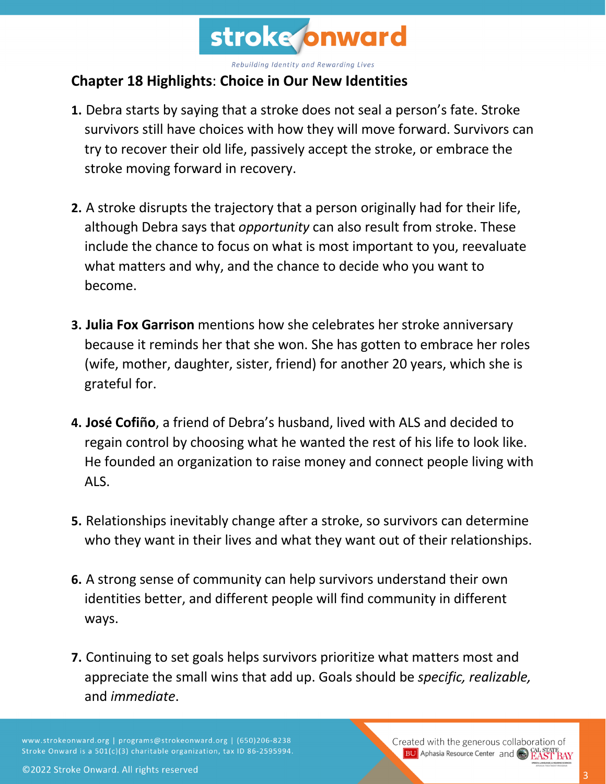

Rebuilding Identity and Rewarding Lives

## **Chapter 18 Highlights**: **Choice in Our New Identities**

- **1.** Debra starts by saying that a stroke does not seal a person's fate. Stroke survivors still have choices with how they will move forward. Survivors can try to recover their old life, passively accept the stroke, or embrace the stroke moving forward in recovery.
- **2.** A stroke disrupts the trajectory that a person originally had for their life, although Debra says that *opportunity* can also result from stroke. These include the chance to focus on what is most important to you, reevaluate what matters and why, and the chance to decide who you want to become.
- **3. Julia Fox Garrison** mentions how she celebrates her stroke anniversary because it reminds her that she won. She has gotten to embrace her roles (wife, mother, daughter, sister, friend) for another 20 years, which she is grateful for.
- **4. José Cofiño**, a friend of Debra's husband, lived with ALS and decided to regain control by choosing what he wanted the rest of his life to look like. He founded an organization to raise money and connect people living with ALS.
- **5.** Relationships inevitably change after a stroke, so survivors can determine who they want in their lives and what they want out of their relationships.
- **6.** A strong sense of community can help survivors understand their own identities better, and different people will find community in different ways.
- **7.** Continuing to set goals helps survivors prioritize what matters most and appreciate the small wins that add up. Goals should be *specific, realizable,* and *immediate*.

www.strokeonward.org | programs@strokeonward.org | (650)206-8238 Stroke Onward is a 501(c)(3) charitable organization, tax ID 86-2595994. Created with the generous collaboration of **BU** Aphasia Resource Center and **CAL STATE**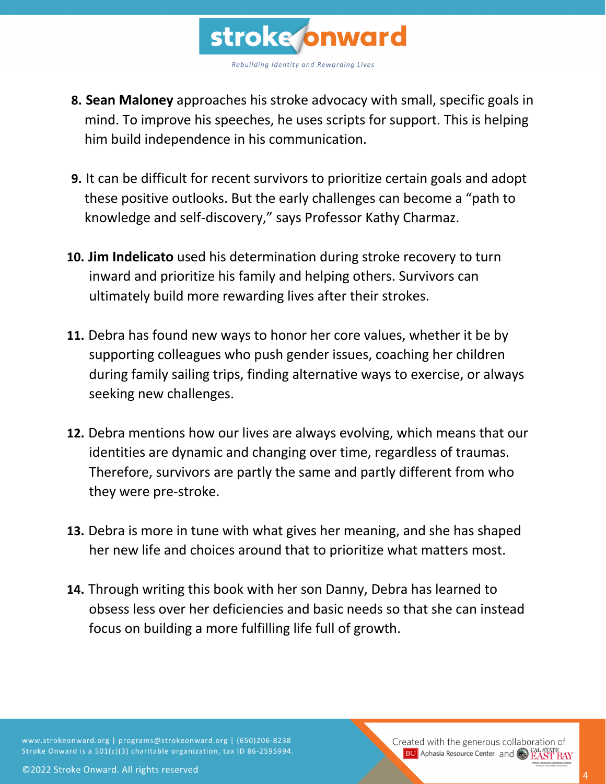

- **8. Sean Maloney** approaches his stroke advocacy with small, specific goals in mind. To improve his speeches, he uses scripts for support. This is helping him build independence in his communication.
- **9.** It can be difficult for recent survivors to prioritize certain goals and adopt these positive outlooks. But the early challenges can become a "path to knowledge and self-discovery," says Professor Kathy Charmaz.
- **10. Jim Indelicato** used his determination during stroke recovery to turn inward and prioritize his family and helping others. Survivors can ultimately build more rewarding lives after their strokes.
- **11.** Debra has found new ways to honor her core values, whether it be by supporting colleagues who push gender issues, coaching her children during family sailing trips, finding alternative ways to exercise, or always seeking new challenges.
- **12.** Debra mentions how our lives are always evolving, which means that our identities are dynamic and changing over time, regardless of traumas. Therefore, survivors are partly the same and partly different from who they were pre-stroke.
- **13.** Debra is more in tune with what gives her meaning, and she has shaped her new life and choices around that to prioritize what matters most.
- **14.** Through writing this book with her son Danny, Debra has learned to obsess less over her deficiencies and basic needs so that she can instead focus on building a more fulfilling life full of growth.

www.strokeonward.org | programs@strokeonward.org | (650)206-8238 Stroke Onward is a 501(c)(3) charitable organization, tax ID 86-2595994.